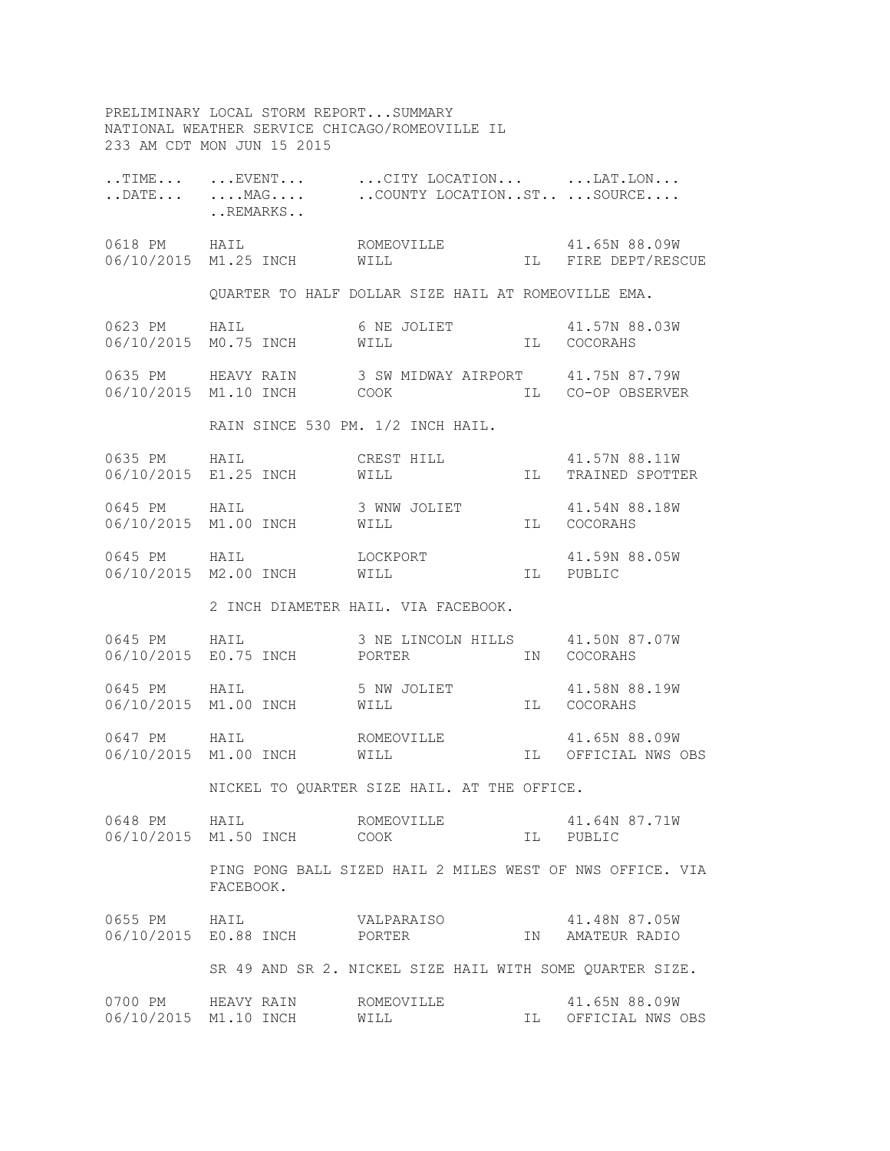PRELIMINARY LOCAL STORM REPORT...SUMMARY NATIONAL WEATHER SERVICE CHICAGO/ROMEOVILLE IL 233 AM CDT MON JUN 15 2015

|              | REMARKS                                     | TIME $\ldots$ $\ldots$ EVENT $\ldots$ $\ldots$ CITY LOCATION $\ldots$ $\ldots$ LAT.LON<br>DATE MAG  COUNTY LOCATIONST  SOURCE |    |                                      |
|--------------|---------------------------------------------|-------------------------------------------------------------------------------------------------------------------------------|----|--------------------------------------|
|              |                                             |                                                                                                                               |    |                                      |
|              |                                             | QUARTER TO HALF DOLLAR SIZE HAIL AT ROMEOVILLE EMA.                                                                           |    |                                      |
|              | 06/10/2015 M0.75 INCH WILL                  | 0623 PM HAIL 6 NE JOLIET 41.57N 88.03W                                                                                        |    | IL COCORAHS                          |
|              |                                             | 0635 PM HEAVY RAIN 3 SW MIDWAY AIRPORT 41.75N 87.79W<br>06/10/2015 M1.10 INCH COOK IL CO-OP OBSERVER                          |    |                                      |
|              |                                             | RAIN SINCE 530 PM. 1/2 INCH HAIL.                                                                                             |    |                                      |
|              |                                             |                                                                                                                               |    |                                      |
|              |                                             |                                                                                                                               |    |                                      |
|              | 06/10/2015 M2.00 INCH WILL                  | 0645 PM HAIL LOCKPORT                                                                                                         |    | 41.59N 88.05W<br>IL PUBLIC           |
|              |                                             | 2 INCH DIAMETER HAIL. VIA FACEBOOK.                                                                                           |    |                                      |
|              |                                             | 0645 PM HAIL 3 NE LINCOLN HILLS 41.50N 87.07W<br>06/10/2015 E0.75 INCH PORTER                                                 |    | IN COCORAHS                          |
|              | 06/10/2015 M1.00 INCH WILL                  | 0645 PM HAIL 5 NW JOLIET 41.58N 88.19W                                                                                        |    | IL COCORAHS                          |
|              |                                             |                                                                                                                               |    | IL OFFICIAL NWS OBS                  |
|              |                                             | NICKEL TO QUARTER SIZE HAIL. AT THE OFFICE.                                                                                   |    |                                      |
| 0648 PM HAIL | 06/10/2015 M1.50 INCH COOK                  | ROMEOVILLE                                                                                                                    | IL | 41.64N 87.71W<br>PUBLIC              |
|              | FACEBOOK.                                   | PING PONG BALL SIZED HAIL 2 MILES WEST OF NWS OFFICE. VIA                                                                     |    |                                      |
| 0655 PM HAIL | 06/10/2015 E0.88 INCH PORTER                | VALPARAISO                                                                                                                    | IN | 41.48N 87.05W<br>AMATEUR RADIO       |
|              |                                             | SR 49 AND SR 2. NICKEL SIZE HAIL WITH SOME QUARTER SIZE.                                                                      |    |                                      |
|              | 0700 PM HEAVY RAIN<br>06/10/2015 M1.10 INCH | ROMEOVILLE<br>WILL                                                                                                            |    | 41.65N 88.09W<br>IL OFFICIAL NWS OBS |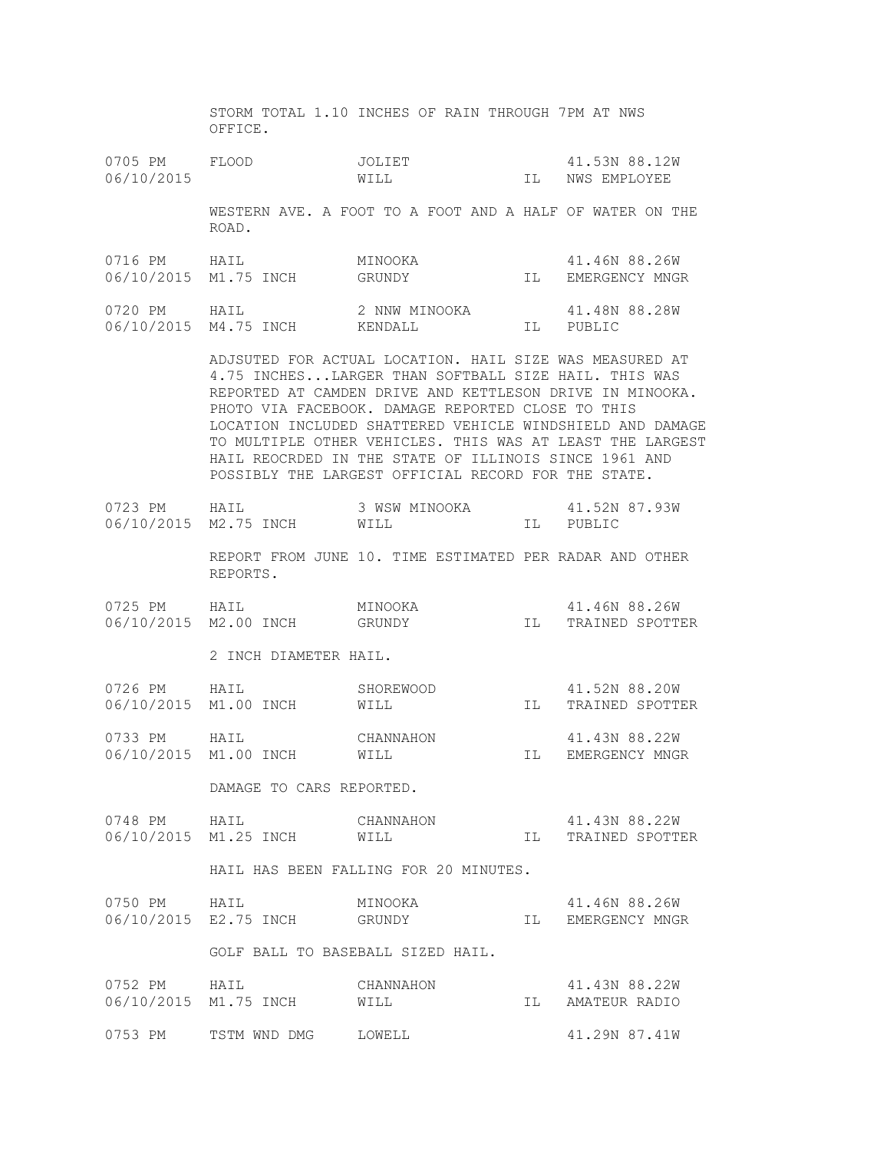STORM TOTAL 1.10 INCHES OF RAIN THROUGH 7PM AT NWS OFFICE.

0705 PM FLOOD JOLIET 41.53N 88.12W 06/10/2015 WILL WILL IL NWS EMPLOYEE

> WESTERN AVE. A FOOT TO A FOOT AND A HALF OF WATER ON THE ROAD.

| 0716 PM | HATT.                 | MINOOKA       |     | 41.46N 88.26W  |
|---------|-----------------------|---------------|-----|----------------|
|         | 06/10/2015 M1.75 INCH | GRUNDY        | TT. | EMERGENCY MNGR |
| 0720 PM | HATT.                 | 2 NNW MINOOKA |     | 41,48N 88,28W  |
|         | 06/10/2015 M4.75 INCH | KENDALL.      | TT. | PUBLIC         |

 ADJSUTED FOR ACTUAL LOCATION. HAIL SIZE WAS MEASURED AT 4.75 INCHES...LARGER THAN SOFTBALL SIZE HAIL. THIS WAS REPORTED AT CAMDEN DRIVE AND KETTLESON DRIVE IN MINOOKA. PHOTO VIA FACEBOOK. DAMAGE REPORTED CLOSE TO THIS LOCATION INCLUDED SHATTERED VEHICLE WINDSHIELD AND DAMAGE TO MULTIPLE OTHER VEHICLES. THIS WAS AT LEAST THE LARGEST HAIL REOCRDED IN THE STATE OF ILLINOIS SINCE 1961 AND POSSIBLY THE LARGEST OFFICIAL RECORD FOR THE STATE.

| 0723 PM               | HATT. | 3 WSW MINOOKA | 41.52N 87.93W |
|-----------------------|-------|---------------|---------------|
| 06/10/2015 M2.75 INCH |       | WILL          | PUBLIC        |

 REPORT FROM JUNE 10. TIME ESTIMATED PER RADAR AND OTHER REPORTS.

| 0725 PM               | HAIL | MINOOKA | 41.46N 88.26W   |
|-----------------------|------|---------|-----------------|
| 06/10/2015 M2.00 INCH |      | GRUNDY  | TRAINED SPOTTER |

2 INCH DIAMETER HAIL.

| 0726 PM | HATL.                 | SHOREWOOD | 41.52N 88.20W   |
|---------|-----------------------|-----------|-----------------|
|         | 06/10/2015 M1.00 INCH | WILL      | TRAINED SPOTTER |
| 0733 PM | HATT.                 | CHANNAHON | 41.43N 88.22W   |

06/10/2015 M1.00 INCH WILL STEET WILL IL EMERGENCY MNGR

DAMAGE TO CARS REPORTED.

| 0748 PM               | HATT. | CHANNAHON | 41.43N 88.22W   |
|-----------------------|-------|-----------|-----------------|
| 06/10/2015 M1.25 INCH |       | WILL      | TRAINED SPOTTER |

HAIL HAS BEEN FALLING FOR 20 MINUTES.

| 0750 PM               | HAIL | MINOOKA | 41.46N 88.26W  |
|-----------------------|------|---------|----------------|
| 06/10/2015 E2.75 INCH |      | GRUNDY  | EMERGENCY MNGR |

GOLF BALL TO BASEBALL SIZED HAIL.

| 0752 PM | HATT.                 | CHANNAHON     | 41.43N 88.22W |
|---------|-----------------------|---------------|---------------|
|         | 06/10/2015 M1.75 INCH | WILL<br>- T T | AMATEUR RADIO |
| 0753 PM | TSTM WND DMG          | LOWELL        | 41.29N 87.41W |